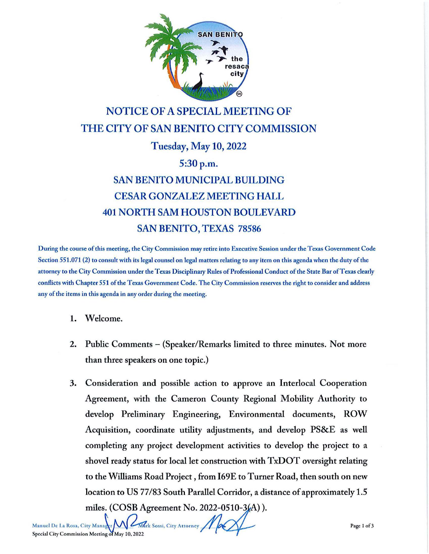

## NOTICE OF A SPECIAL MEETING OF THE CITY OF SAN BENITO CITY COMMISSION

Tuesday, May 10, 2022

5:30 p.m.

## SAN BENITO MUNICIPAL BUILDING CESAR GONZALEZ MEETING HALL 401 NORTH SAM HOUSTON BOULEVARD SAN BENITO, TEXAS 78586

During the course of this meeting, the City Commission may retire into Executive Session under the Texas Government Code Section 551.071 (2) to consult with its legal counsel on legal matters relating to any item on this agenda when the duty of the attorney to the City Commission under the Texas Disciplinary Rules of Professional Conduct of the State Bar of Texas clearly conflicts with Chapter 551 of the Texas Government Code. The City Commission reserves the right to consider and address any of the items in this agenda in any order during the meeting.

- 1. Welcome.
- 2. Public Comments (Speaker/Remarks limited to three minutes. Not more than three speakers on one topic.)
- 3. Consideration and possible action to approve an lnterlocal Cooperation Agreement, with the Cameron County Regional Mobility Authority to develop Preliminary Engineering, Environmental documents, ROW Acquisition, coordinate utility adjustments, and develop PS&E as well completing any project development activities to develop the project to a shovel ready status for local let construction with TxDOT oversight relating to the Williams Road Project, from l69E to Turner Road, then south on new location to US 77/83 South Parallel Corridor, a distance of approximately 1.5 miles. (COSB Agreement No. 2022-0510-3(A)).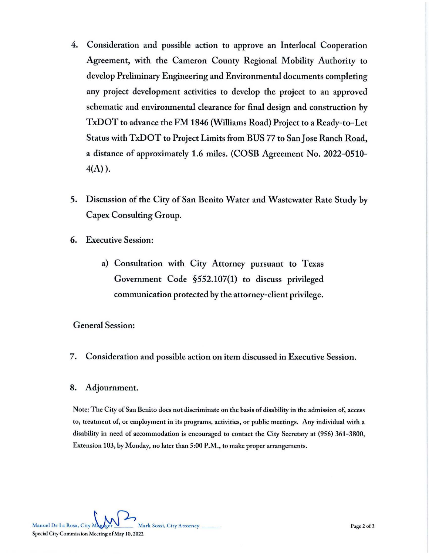- 4. Consideration and possible action to approve an lnterlocal Cooperation Agreement, with the Cameron County Regional Mobility Authority to develop Preliminary Engineering and Environmental documents completing any project development activities to develop the project to an approved schematic and environmental clearance for final design and construction by TxDOT to advance the FM 1846 (Williams Road) Project to a Ready-to-Let Status with TxDOT to Project Limits from BUS 77 to San Jose Ranch Road, a distance of approximately 1.6 miles. (COSB Agreement No. 2022-0510- 4(A) ).
- 5. Discussion of the City of San Benito Water and Wastewater Rate Study by Capex Consulting Group.
- 6. Executive Session:
	- a) Consultation with City Attorney pursuant to Texas Government Code §552.107(1) to discuss privileged communication protected by the attorney-client privilege.

## General Session:

7. Consideration and possible action on item discussed in Executive Session.

## 8. Adjournment.

Note: The City of San Benito does not discriminate on the basis of disability in the admission of, access to, treatment of, or employment in its programs, activities, or public meetings. Any individual with a disability in need of accommodation is encouraged to contact the City Secretary at (956) 361-3800, Extension 103, by Monday, no later than 5:00 **P.M.,** to make proper arrangements.

Manuel De La Rosa, City Manuel Carry Mark Sossi, City Attorney Special City Commission Meeting of May 10, 2022